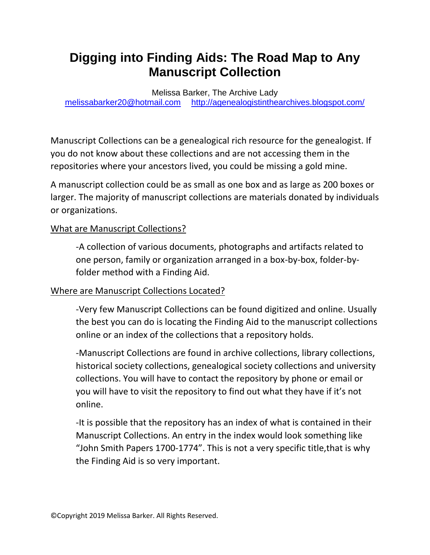# **Digging into Finding Aids: The Road Map to Any Manuscript Collection**

#### Melissa Barker, The Archive Lady [melissabarker20@hotmail.com](mailto:melissabarker20@hotmail.com) <http://agenealogistinthearchives.blogspot.com/>

Manuscript Collections can be a genealogical rich resource for the genealogist. If you do not know about these collections and are not accessing them in the repositories where your ancestors lived, you could be missing a gold mine.

A manuscript collection could be as small as one box and as large as 200 boxes or larger. The majority of manuscript collections are materials donated by individuals or organizations.

#### What are Manuscript Collections?

-A collection of various documents, photographs and artifacts related to one person, family or organization arranged in a box-by-box, folder-byfolder method with a Finding Aid.

#### Where are Manuscript Collections Located?

-Very few Manuscript Collections can be found digitized and online. Usually the best you can do is locating the Finding Aid to the manuscript collections online or an index of the collections that a repository holds.

-Manuscript Collections are found in archive collections, library collections, historical society collections, genealogical society collections and university collections. You will have to contact the repository by phone or email or you will have to visit the repository to find out what they have if it's not online.

-It is possible that the repository has an index of what is contained in their Manuscript Collections. An entry in the index would look something like "John Smith Papers 1700-1774". This is not a very specific title,that is why the Finding Aid is so very important.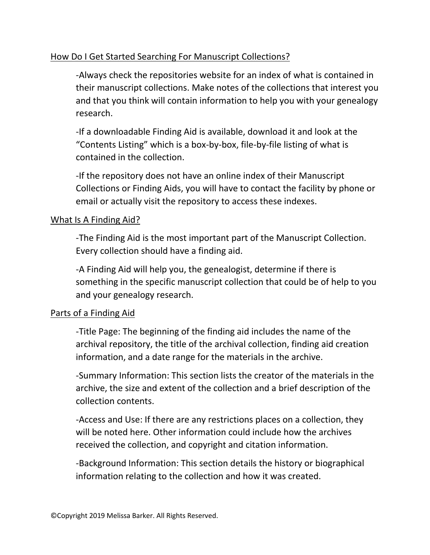## How Do I Get Started Searching For Manuscript Collections?

-Always check the repositories website for an index of what is contained in their manuscript collections. Make notes of the collections that interest you and that you think will contain information to help you with your genealogy research.

-If a downloadable Finding Aid is available, download it and look at the "Contents Listing" which is a box-by-box, file-by-file listing of what is contained in the collection.

-If the repository does not have an online index of their Manuscript Collections or Finding Aids, you will have to contact the facility by phone or email or actually visit the repository to access these indexes.

#### What Is A Finding Aid?

-The Finding Aid is the most important part of the Manuscript Collection. Every collection should have a finding aid.

-A Finding Aid will help you, the genealogist, determine if there is something in the specific manuscript collection that could be of help to you and your genealogy research.

#### Parts of a Finding Aid

-Title Page: The beginning of the finding aid includes the name of the archival repository, the title of the archival collection, finding aid creation information, and a date range for the materials in the archive.

-Summary Information: This section lists the creator of the materials in the archive, the size and extent of the collection and a brief description of the collection contents.

-Access and Use: If there are any restrictions places on a collection, they will be noted here. Other information could include how the archives received the collection, and copyright and citation information.

-Background Information: This section details the history or biographical information relating to the collection and how it was created.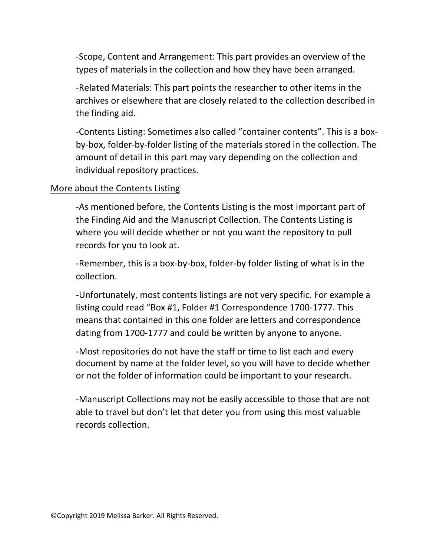-Scope, Content and Arrangement: This part provides an overview of the types of materials in the collection and how they have been arranged.

-Related Materials: This part points the researcher to other items in the archives or elsewhere that are closely related to the collection described in the finding aid.

-Contents Listing: Sometimes also called "container contents". This is a boxby-box, folder-by-folder listing of the materials stored in the collection. The amount of detail in this part may vary depending on the collection and individual repository practices.

#### More about the Contents Listing

-As mentioned before, the Contents Listing is the most important part of the Finding Aid and the Manuscript Collection. The Contents Listing is where you will decide whether or not you want the repository to pull records for you to look at.

-Remember, this is a box-by-box, folder-by folder listing of what is in the collection.

-Unfortunately, most contents listings are not very specific. For example a listing could read "Box #1, Folder #1 Correspondence 1700-1777. This means that contained in this one folder are letters and correspondence dating from 1700-1777 and could be written by anyone to anyone.

-Most repositories do not have the staff or time to list each and every document by name at the folder level, so you will have to decide whether or not the folder of information could be important to your research.

-Manuscript Collections may not be easily accessible to those that are not able to travel but don't let that deter you from using this most valuable records collection.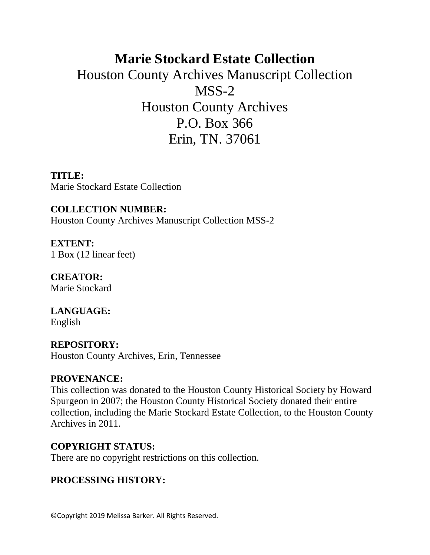# **Marie Stockard Estate Collection** Houston County Archives Manuscript Collection MSS-2 Houston County Archives P.O. Box 366 Erin, TN. 37061

**TITLE:** Marie Stockard Estate Collection

**COLLECTION NUMBER:** Houston County Archives Manuscript Collection MSS-2

**EXTENT:** 1 Box (12 linear feet)

**CREATOR:** Marie Stockard

**LANGUAGE:** English

**REPOSITORY:** Houston County Archives, Erin, Tennessee

#### **PROVENANCE:**

This collection was donated to the Houston County Historical Society by Howard Spurgeon in 2007; the Houston County Historical Society donated their entire collection, including the Marie Stockard Estate Collection, to the Houston County Archives in 2011.

#### **COPYRIGHT STATUS:**

There are no copyright restrictions on this collection.

## **PROCESSING HISTORY:**

©Copyright 2019 Melissa Barker. All Rights Reserved.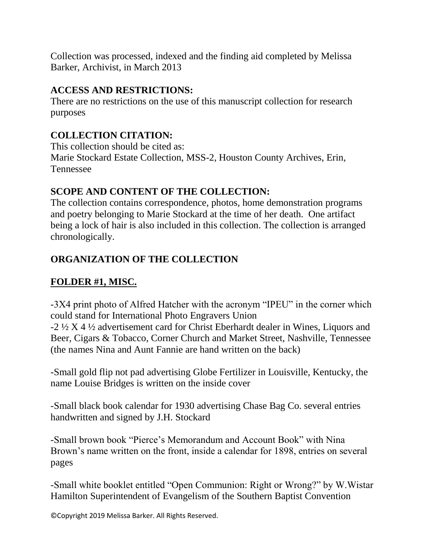Collection was processed, indexed and the finding aid completed by Melissa Barker, Archivist, in March 2013

## **ACCESS AND RESTRICTIONS:**

There are no restrictions on the use of this manuscript collection for research purposes

# **COLLECTION CITATION:**

This collection should be cited as: Marie Stockard Estate Collection, MSS-2, Houston County Archives, Erin, Tennessee

# **SCOPE AND CONTENT OF THE COLLECTION:**

The collection contains correspondence, photos, home demonstration programs and poetry belonging to Marie Stockard at the time of her death. One artifact being a lock of hair is also included in this collection. The collection is arranged chronologically.

# **ORGANIZATION OF THE COLLECTION**

# **FOLDER #1, MISC.**

-3X4 print photo of Alfred Hatcher with the acronym "IPEU" in the corner which could stand for International Photo Engravers Union -2 ½ X 4 ½ advertisement card for Christ Eberhardt dealer in Wines, Liquors and

Beer, Cigars & Tobacco, Corner Church and Market Street, Nashville, Tennessee (the names Nina and Aunt Fannie are hand written on the back)

-Small gold flip not pad advertising Globe Fertilizer in Louisville, Kentucky, the name Louise Bridges is written on the inside cover

-Small black book calendar for 1930 advertising Chase Bag Co. several entries handwritten and signed by J.H. Stockard

-Small brown book "Pierce's Memorandum and Account Book" with Nina Brown's name written on the front, inside a calendar for 1898, entries on several pages

-Small white booklet entitled "Open Communion: Right or Wrong?" by W.Wistar Hamilton Superintendent of Evangelism of the Southern Baptist Convention

©Copyright 2019 Melissa Barker. All Rights Reserved.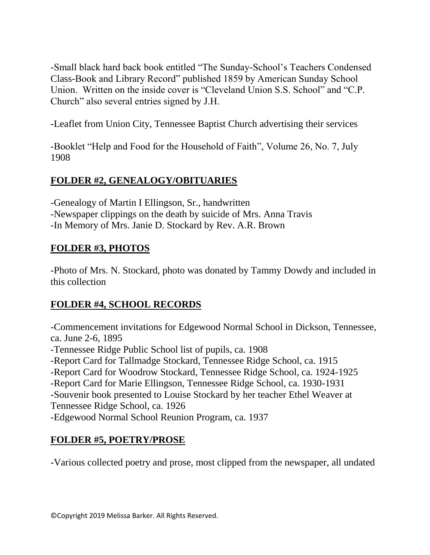-Small black hard back book entitled "The Sunday-School's Teachers Condensed Class-Book and Library Record" published 1859 by American Sunday School Union. Written on the inside cover is "Cleveland Union S.S. School" and "C.P. Church" also several entries signed by J.H.

-Leaflet from Union City, Tennessee Baptist Church advertising their services

-Booklet "Help and Food for the Household of Faith", Volume 26, No. 7, July 1908

# **FOLDER #2, GENEALOGY/OBITUARIES**

-Genealogy of Martin I Ellingson, Sr., handwritten -Newspaper clippings on the death by suicide of Mrs. Anna Travis -In Memory of Mrs. Janie D. Stockard by Rev. A.R. Brown

## **FOLDER #3, PHOTOS**

-Photo of Mrs. N. Stockard, photo was donated by Tammy Dowdy and included in this collection

# **FOLDER #4, SCHOOL RECORDS**

-Commencement invitations for Edgewood Normal School in Dickson, Tennessee, ca. June 2-6, 1895 -Tennessee Ridge Public School list of pupils, ca. 1908 -Report Card for Tallmadge Stockard, Tennessee Ridge School, ca. 1915 -Report Card for Woodrow Stockard, Tennessee Ridge School, ca. 1924-1925 -Report Card for Marie Ellingson, Tennessee Ridge School, ca. 1930-1931 -Souvenir book presented to Louise Stockard by her teacher Ethel Weaver at Tennessee Ridge School, ca. 1926 -Edgewood Normal School Reunion Program, ca. 1937

# **FOLDER #5, POETRY/PROSE**

-Various collected poetry and prose, most clipped from the newspaper, all undated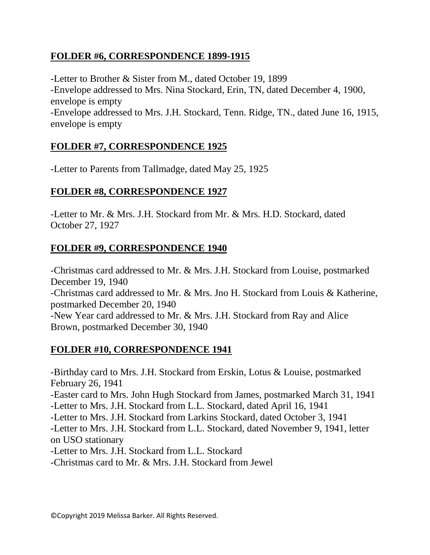## **FOLDER #6, CORRESPONDENCE 1899-1915**

-Letter to Brother & Sister from M., dated October 19, 1899 -Envelope addressed to Mrs. Nina Stockard, Erin, TN, dated December 4, 1900, envelope is empty -Envelope addressed to Mrs. J.H. Stockard, Tenn. Ridge, TN., dated June 16, 1915, envelope is empty

## **FOLDER #7, CORRESPONDENCE 1925**

-Letter to Parents from Tallmadge, dated May 25, 1925

## **FOLDER #8, CORRESPONDENCE 1927**

-Letter to Mr. & Mrs. J.H. Stockard from Mr. & Mrs. H.D. Stockard, dated October 27, 1927

## **FOLDER #9, CORRESPONDENCE 1940**

-Christmas card addressed to Mr. & Mrs. J.H. Stockard from Louise, postmarked December 19, 1940

-Christmas card addressed to Mr. & Mrs. Jno H. Stockard from Louis & Katherine, postmarked December 20, 1940

-New Year card addressed to Mr. & Mrs. J.H. Stockard from Ray and Alice Brown, postmarked December 30, 1940

## **FOLDER #10, CORRESPONDENCE 1941**

-Birthday card to Mrs. J.H. Stockard from Erskin, Lotus & Louise, postmarked February 26, 1941 -Easter card to Mrs. John Hugh Stockard from James, postmarked March 31, 1941 -Letter to Mrs. J.H. Stockard from L.L. Stockard, dated April 16, 1941 -Letter to Mrs. J.H. Stockard from Larkins Stockard, dated October 3, 1941 -Letter to Mrs. J.H. Stockard from L.L. Stockard, dated November 9, 1941, letter on USO stationary -Letter to Mrs. J.H. Stockard from L.L. Stockard -Christmas card to Mr. & Mrs. J.H. Stockard from Jewel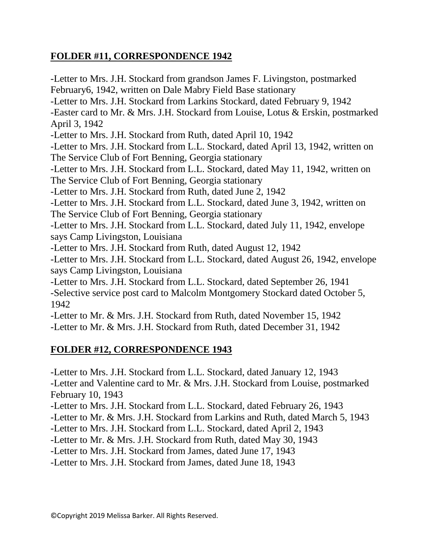## **FOLDER #11, CORRESPONDENCE 1942**

-Letter to Mrs. J.H. Stockard from grandson James F. Livingston, postmarked February6, 1942, written on Dale Mabry Field Base stationary -Letter to Mrs. J.H. Stockard from Larkins Stockard, dated February 9, 1942 -Easter card to Mr. & Mrs. J.H. Stockard from Louise, Lotus & Erskin, postmarked April 3, 1942 -Letter to Mrs. J.H. Stockard from Ruth, dated April 10, 1942 -Letter to Mrs. J.H. Stockard from L.L. Stockard, dated April 13, 1942, written on The Service Club of Fort Benning, Georgia stationary -Letter to Mrs. J.H. Stockard from L.L. Stockard, dated May 11, 1942, written on The Service Club of Fort Benning, Georgia stationary -Letter to Mrs. J.H. Stockard from Ruth, dated June 2, 1942 -Letter to Mrs. J.H. Stockard from L.L. Stockard, dated June 3, 1942, written on The Service Club of Fort Benning, Georgia stationary -Letter to Mrs. J.H. Stockard from L.L. Stockard, dated July 11, 1942, envelope says Camp Livingston, Louisiana -Letter to Mrs. J.H. Stockard from Ruth, dated August 12, 1942 -Letter to Mrs. J.H. Stockard from L.L. Stockard, dated August 26, 1942, envelope says Camp Livingston, Louisiana -Letter to Mrs. J.H. Stockard from L.L. Stockard, dated September 26, 1941 -Selective service post card to Malcolm Montgomery Stockard dated October 5, 1942

-Letter to Mr. & Mrs. J.H. Stockard from Ruth, dated November 15, 1942 -Letter to Mr. & Mrs. J.H. Stockard from Ruth, dated December 31, 1942

## **FOLDER #12, CORRESPONDENCE 1943**

-Letter to Mrs. J.H. Stockard from L.L. Stockard, dated January 12, 1943

-Letter and Valentine card to Mr. & Mrs. J.H. Stockard from Louise, postmarked February 10, 1943

-Letter to Mrs. J.H. Stockard from L.L. Stockard, dated February 26, 1943

-Letter to Mr. & Mrs. J.H. Stockard from Larkins and Ruth, dated March 5, 1943

- -Letter to Mrs. J.H. Stockard from L.L. Stockard, dated April 2, 1943
- -Letter to Mr. & Mrs. J.H. Stockard from Ruth, dated May 30, 1943
- -Letter to Mrs. J.H. Stockard from James, dated June 17, 1943

-Letter to Mrs. J.H. Stockard from James, dated June 18, 1943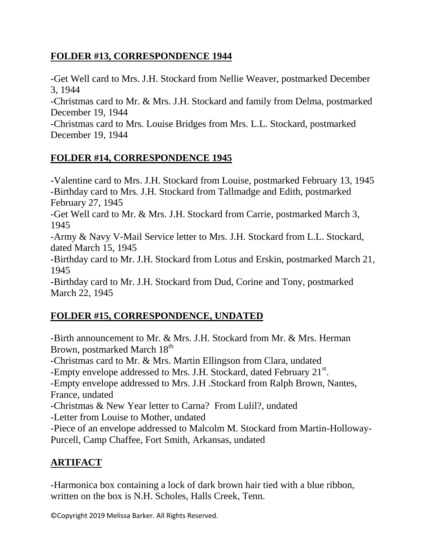# **FOLDER #13, CORRESPONDENCE 1944**

-Get Well card to Mrs. J.H. Stockard from Nellie Weaver, postmarked December 3, 1944

-Christmas card to Mr. & Mrs. J.H. Stockard and family from Delma, postmarked December 19, 1944

-Christmas card to Mrs. Louise Bridges from Mrs. L.L. Stockard, postmarked December 19, 1944

# **FOLDER #14, CORRESPONDENCE 1945**

-Valentine card to Mrs. J.H. Stockard from Louise, postmarked February 13, 1945 -Birthday card to Mrs. J.H. Stockard from Tallmadge and Edith, postmarked February 27, 1945

-Get Well card to Mr. & Mrs. J.H. Stockard from Carrie, postmarked March 3, 1945

-Army & Navy V-Mail Service letter to Mrs. J.H. Stockard from L.L. Stockard, dated March 15, 1945

-Birthday card to Mr. J.H. Stockard from Lotus and Erskin, postmarked March 21, 1945

-Birthday card to Mr. J.H. Stockard from Dud, Corine and Tony, postmarked March 22, 1945

# **FOLDER #15, CORRESPONDENCE, UNDATED**

-Birth announcement to Mr. & Mrs. J.H. Stockard from Mr. & Mrs. Herman Brown, postmarked March 18<sup>th</sup>

-Christmas card to Mr. & Mrs. Martin Ellingson from Clara, undated

-Empty envelope addressed to Mrs. J.H. Stockard, dated February 21<sup>st</sup>.

-Empty envelope addressed to Mrs. J.H .Stockard from Ralph Brown, Nantes, France, undated

-Christmas & New Year letter to Carna? From Lulil?, undated

-Letter from Louise to Mother, undated

-Piece of an envelope addressed to Malcolm M. Stockard from Martin-Holloway-Purcell, Camp Chaffee, Fort Smith, Arkansas, undated

# **ARTIFACT**

-Harmonica box containing a lock of dark brown hair tied with a blue ribbon, written on the box is N.H. Scholes, Halls Creek, Tenn.

©Copyright 2019 Melissa Barker. All Rights Reserved.